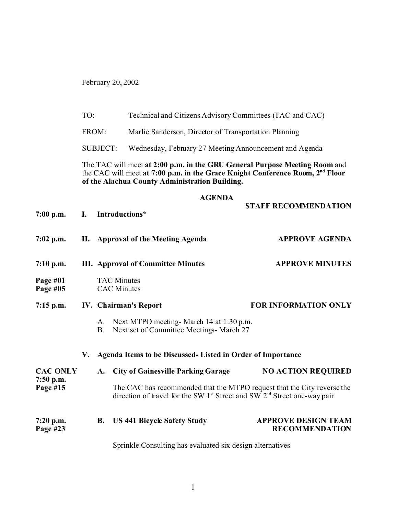February 20, 2002

| TO: | Technical and Citizens Advisory Committees (TAC and CAC) |  |
|-----|----------------------------------------------------------|--|
|-----|----------------------------------------------------------|--|

FROM: Marlie Sanderson, Director of Transportation Planning

SUBJECT: Wednesday, February 27 Meeting Announcement and Agenda

The TAC will meet **at 2:00 p.m. in the GRU General Purpose Meeting Room** and the CAC will meet **at 7:00 p.m. in the Grace Knight Conference Room, 2nd Floor of the Alachua County Administration Building.**

## **AGENDA**

| $7:00$ p.m.                                | $\mathbf{I}$ . | Introductions*                                                                                                                                          | <b>STAFF RECOMMENDATION</b>                         |  |  |  |  |
|--------------------------------------------|----------------|---------------------------------------------------------------------------------------------------------------------------------------------------------|-----------------------------------------------------|--|--|--|--|
| $7:02$ p.m.                                |                | II. Approval of the Meeting Agenda                                                                                                                      | <b>APPROVE AGENDA</b>                               |  |  |  |  |
| $7:10$ p.m.                                |                | <b>III.</b> Approval of Committee Minutes                                                                                                               | <b>APPROVE MINUTES</b>                              |  |  |  |  |
| Page $#01$<br>Page #05                     |                | <b>TAC Minutes</b><br><b>CAC</b> Minutes                                                                                                                |                                                     |  |  |  |  |
| $7:15$ p.m.                                |                | IV. Chairman's Report                                                                                                                                   | <b>FOR INFORMATION ONLY</b>                         |  |  |  |  |
|                                            |                | A. Next MTPO meeting- March 14 at 1:30 p.m.<br>Next set of Committee Meetings- March 27<br>B.                                                           |                                                     |  |  |  |  |
|                                            | V.             | Agenda Items to be Discussed- Listed in Order of Importance                                                                                             |                                                     |  |  |  |  |
| <b>CAC ONLY</b><br>$7:50$ p.m.<br>Page #15 |                | A. City of Gainesville Parking Garage                                                                                                                   | <b>NO ACTION REQUIRED</b>                           |  |  |  |  |
|                                            |                | The CAC has recommended that the MTPO request that the City reverse the<br>direction of travel for the SW $1st$ Street and SW $2nd$ Street one-way pair |                                                     |  |  |  |  |
| $7:20$ p.m.<br>Page #23                    |                | <b>US 441 Bicycle Safety Study</b><br><b>B.</b>                                                                                                         | <b>APPROVE DESIGN TEAM</b><br><b>RECOMMENDATION</b> |  |  |  |  |

Sprinkle Consulting has evaluated six design alternatives